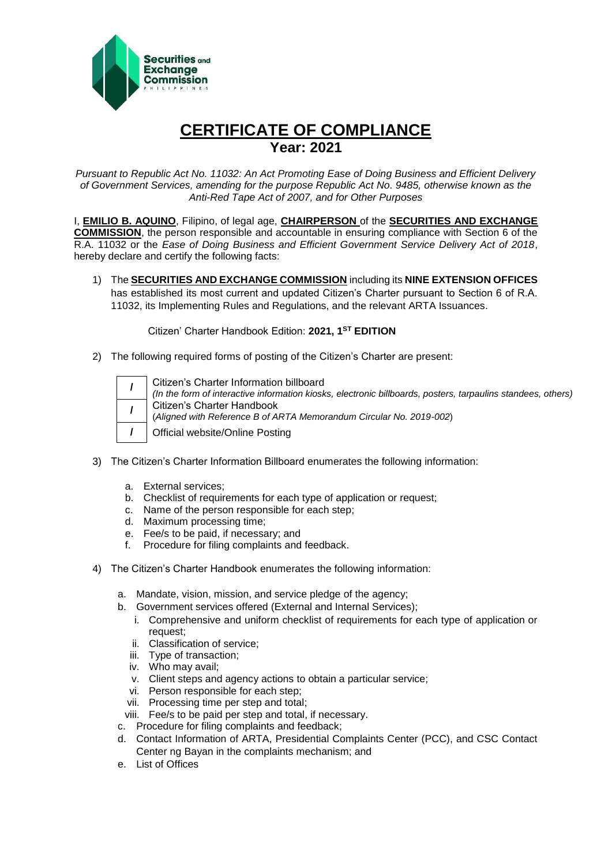

## **CERTIFICATE OF COMPLIANCE Year: 2021**

*Pursuant to Republic Act No. 11032: An Act Promoting Ease of Doing Business and Efficient Delivery of Government Services, amending for the purpose Republic Act No. 9485, otherwise known as the Anti-Red Tape Act of 2007, and for Other Purposes*

I, **EMILIO B. AQUINO**, Filipino, of legal age, **CHAIRPERSON** of the **SECURITIES AND EXCHANGE COMMISSION**, the person responsible and accountable in ensuring compliance with Section 6 of the R.A. 11032 or the *Ease of Doing Business and Efficient Government Service Delivery Act of 2018*, hereby declare and certify the following facts:

1) The **SECURITIES AND EXCHANGE COMMISSION** including its **NINE EXTENSION OFFICES** has established its most current and updated Citizen's Charter pursuant to Section 6 of R.A. 11032, its Implementing Rules and Regulations, and the relevant ARTA Issuances.

Citizen' Charter Handbook Edition: **2021, 1ST EDITION**

2) The following required forms of posting of the Citizen's Charter are present:

|  | Citizen's Charter Information billboard<br>(In the form of interactive information kiosks, electronic billboards, posters, tarpaulins standees, others) |
|--|---------------------------------------------------------------------------------------------------------------------------------------------------------|
|  | Citizen's Charter Handbook<br>(Aligned with Reference B of ARTA Memorandum Circular No. 2019-002)                                                       |
|  | Official website/Online Posting                                                                                                                         |

- 3) The Citizen's Charter Information Billboard enumerates the following information:
	- a. External services;
	- b. Checklist of requirements for each type of application or request;
	- c. Name of the person responsible for each step;
	- d. Maximum processing time;
	- e. Fee/s to be paid, if necessary; and
	- f. Procedure for filing complaints and feedback.
- 4) The Citizen's Charter Handbook enumerates the following information:
	- a. Mandate, vision, mission, and service pledge of the agency;
	- b. Government services offered (External and Internal Services);
		- i. Comprehensive and uniform checklist of requirements for each type of application or request;
		- ii. Classification of service;
		- iii. Type of transaction;
		- iv. Who may avail;
		- v. Client steps and agency actions to obtain a particular service;
		- vi. Person responsible for each step;
		- vii. Processing time per step and total;
		- viii. Fee/s to be paid per step and total, if necessary.
	- c. Procedure for filing complaints and feedback;
	- d. Contact Information of ARTA, Presidential Complaints Center (PCC), and CSC Contact Center ng Bayan in the complaints mechanism; and
	- e. List of Offices